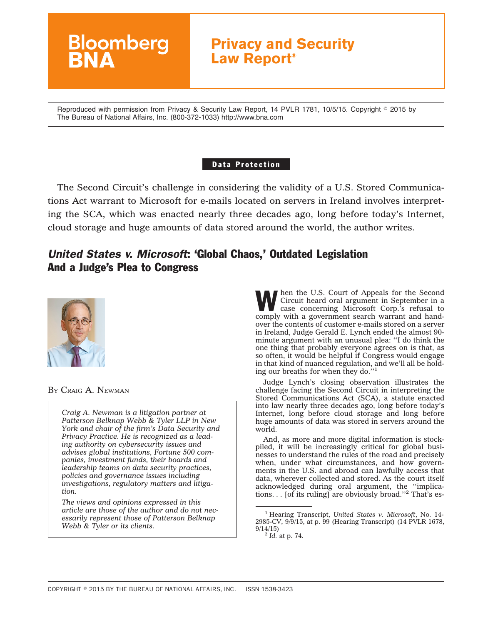

Reproduced with permission from Privacy & Security Law Report, 14 PVLR 1781, 10/5/15. Copyright © 2015 by The Bureau of National Affairs, Inc. (800-372-1033) http://www.bna.com

#### Data Protection

The Second Circuit's challenge in considering the validity of a U.S. Stored Communications Act warrant to Microsoft for e-mails located on servers in Ireland involves interpreting the SCA, which was enacted nearly three decades ago, long before today's Internet, cloud storage and huge amounts of data stored around the world, the author writes.

# *United States v. Microsoft*: 'Global Chaos,' Outdated Legislation And a Judge's Plea to Congress



BY CRAIG A. NEWMAN

*Craig A. Newman is a litigation partner at Patterson Belknap Webb & Tyler LLP in New York and chair of the firm's Data Security and Privacy Practice. He is recognized as a leading authority on cybersecurity issues and advises global institutions, Fortune 500 companies, investment funds, their boards and leadership teams on data security practices, policies and governance issues including investigations, regulatory matters and litigation.*

*The views and opinions expressed in this article are those of the author and do not necessarily represent those of Patterson Belknap Webb & Tyler or its clients.*

When the U.S. Court of Appeals for the Second<br>Circuit heard oral argument in September in a<br>case concerning Microsoft Corp.'s refusal to Circuit heard oral argument in September in a comply with a government search warrant and handover the contents of customer e-mails stored on a server in Ireland, Judge Gerald E. Lynch ended the almost 90 minute argument with an unusual plea: ''I do think the one thing that probably everyone agrees on is that, as so often, it would be helpful if Congress would engage in that kind of nuanced regulation, and we'll all be holding our breaths for when they do."<sup>1</sup>

Judge Lynch's closing observation illustrates the challenge facing the Second Circuit in interpreting the Stored Communications Act (SCA), a statute enacted into law nearly three decades ago, long before today's Internet, long before cloud storage and long before huge amounts of data was stored in servers around the world.

And, as more and more digital information is stockpiled, it will be increasingly critical for global businesses to understand the rules of the road and precisely when, under what circumstances, and how governments in the U.S. and abroad can lawfully access that data, wherever collected and stored. As the court itself acknowledged during oral argument, the ''implications. . . [of its ruling] are obviously broad.''2 That's es-

<sup>2</sup> *Id.* at p. 74.

<sup>1</sup> Hearing Transcript, *United States v. Microsoft*, No. 14- 2985-CV, 9/9/15, at p. 99 (Hearing Transcript) (14 PVLR 1678, 9/14/15)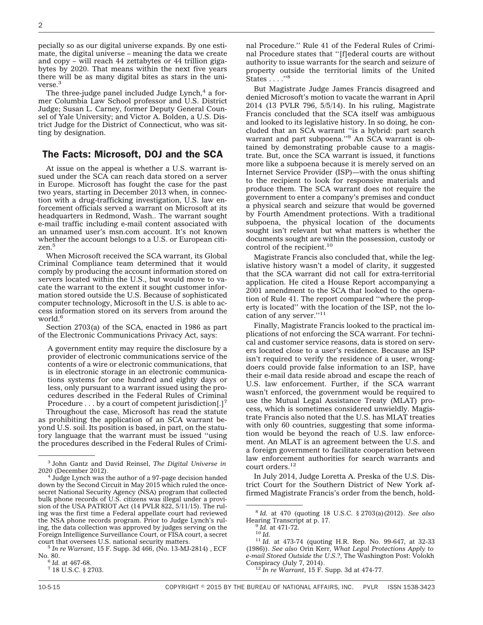pecially so as our digital universe expands. By one estimate, the digital universe – meaning the data we create and copy – will reach 44 zettabytes or 44 trillion gigabytes by 2020. That means within the next five years there will be as many digital bites as stars in the universe.<sup>3</sup>

The three-judge panel included Judge Lynch, $4$  a former Columbia Law School professor and U.S. District Judge; Susan L. Carney, former Deputy General Counsel of Yale University; and Victor A. Bolden, a U.S. District Judge for the District of Connecticut, who was sitting by designation.

#### The Facts: Microsoft, DOJ and the SCA

At issue on the appeal is whether a U.S. warrant issued under the SCA can reach data stored on a server in Europe. Microsoft has fought the case for the past two years, starting in December 2013 when, in connection with a drug-trafficking investigation, U.S. law enforcement officials served a warrant on Microsoft at its headquarters in Redmond, Wash.. The warrant sought e-mail traffic including e-mail content associated with an unnamed user's msn.com account. It's not known whether the account belongs to a U.S. or European citizen.<sup>5</sup>

When Microsoft received the SCA warrant, its Global Criminal Compliance team determined that it would comply by producing the account information stored on servers located within the U.S., but would move to vacate the warrant to the extent it sought customer information stored outside the U.S. Because of sophisticated computer technology, Microsoft in the U.S. is able to access information stored on its servers from around the world.<sup>6</sup>

Section 2703(a) of the SCA, enacted in 1986 as part of the Electronic Communications Privacy Act, says:

A government entity may require the disclosure by a provider of electronic communications service of the contents of a wire or electronic communications, that is in electronic storage in an electronic communications systems for one hundred and eighty days or less, only pursuant to a warrant issued using the procedures described in the Federal Rules of Criminal Procedure . . . by a court of competent jurisdiction[.]<sup>7</sup>

Throughout the case, Microsoft has read the statute as prohibiting the application of an SCA warrant beyond U.S. soil. Its position is based, in part, on the statutory language that the warrant must be issued ''using the procedures described in the Federal Rules of Crimi-

 $\frac{6}{7}$  *Id.* at 467-68.<br><sup>7</sup> 18 U.S.C. § 2703.

nal Procedure.'' Rule 41 of the Federal Rules of Criminal Procedure states that ''[f]ederal courts are without authority to issue warrants for the search and seizure of property outside the territorial limits of the United States . . . . "8

But Magistrate Judge James Francis disagreed and denied Microsoft's motion to vacate the warrant in April 2014 (13 PVLR 796, 5/5/14). In his ruling, Magistrate Francis concluded that the SCA itself was ambiguous and looked to its legislative history. In so doing, he concluded that an SCA warrant ''is a hybrid: part search warrant and part subpoena.''9 An SCA warrant is obtained by demonstrating probable cause to a magistrate. But, once the SCA warrant is issued, it functions more like a subpoena because it is merely served on an Internet Service Provider (ISP)—with the onus shifting to the recipient to look for responsive materials and produce them. The SCA warrant does not require the government to enter a company's premises and conduct a physical search and seizure that would be governed by Fourth Amendment protections. With a traditional subpoena, the physical location of the documents sought isn't relevant but what matters is whether the documents sought are within the possession, custody or control of the recipient.<sup>10</sup>

Magistrate Francis also concluded that, while the legislative history wasn't a model of clarity, it suggested that the SCA warrant did not call for extra-territorial application. He cited a House Report accompanying a 2001 amendment to the SCA that looked to the operation of Rule 41. The report compared ''where the property is located'' with the location of the ISP, not the location of any server."<sup>11</sup>

Finally, Magistrate Francis looked to the practical implications of not enforcing the SCA warrant. For technical and customer service reasons, data is stored on servers located close to a user's residence. Because an ISP isn't required to verify the residence of a user, wrongdoers could provide false information to an ISP, have their e-mail data reside abroad and escape the reach of U.S. law enforcement. Further, if the SCA warrant wasn't enforced, the government would be required to use the Mutual Legal Assistance Treaty (MLAT) process, which is sometimes considered unwieldly. Magistrate Francis also noted that the U.S. has MLAT treaties with only 60 countries, suggesting that some information would be beyond the reach of U.S. law enforcement. An MLAT is an agreement between the U.S. and a foreign government to facilitate cooperation between law enforcement authorities for search warrants and court orders.<sup>12</sup>

In July 2014, Judge Loretta A. Preska of the U.S. District Court for the Southern District of New York affirmed Magistrate Francis's order from the bench, hold-

<sup>3</sup> John Gantz and David Reinsel, *The Digital Universe in*

<sup>&</sup>lt;sup>4</sup> Judge Lynch was the author of a 97-page decision handed down by the Second Circuit in May 2015 which ruled the oncesecret National Security Agency (NSA) program that collected bulk phone records of U.S. citizens was illegal under a provision of the USA PATRIOT Act (14 PVLR 822, 5/11/15). The ruling was the first time a Federal appellate court had reviewed the NSA phone records program. Prior to Judge Lynch's ruling, the data collection was approved by judges serving on the Foreign Intelligence Surveillance Court, or FISA court, a secret

 $^5$   $\!In$   $\!re$   $\!W\!arrant,$   $\!15$  F. Supp. 3d 466, (No. 13-MJ-2814) , ECF No. 80.

<sup>8</sup> *Id.* at 470 (quoting 18 U.S.C. § 2703(a)(2012). *See also*

<sup>&</sup>lt;sup>9</sup> *Id.* at 471-72.<br><sup>10</sup> *Id.* 11 *Id.* at 473-74 (quoting H.R. Rep. No. 99-647, at 32-33 (1986)). *See also* Orin Kerr, *What Legal Protections Apply to e-mail Stored Outside the U.S.?*, The Washington Post: Volokh Conspiracy (July 7, 2014). <sup>12</sup> *In re Warrant*, 15 F. Supp. 3d at 474-77.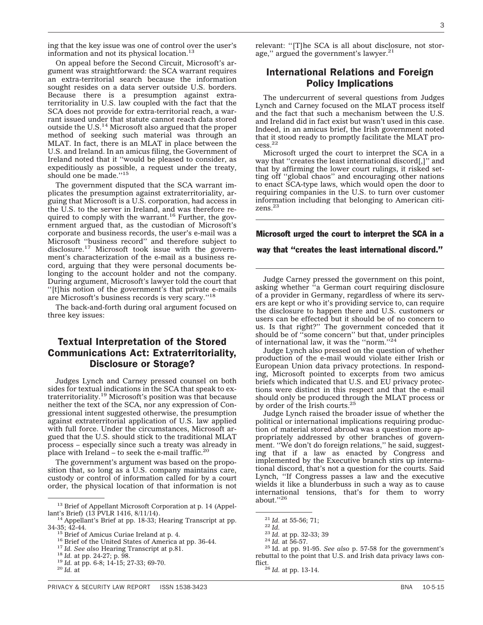ing that the key issue was one of control over the user's information and not its physical location.<sup>13</sup>

On appeal before the Second Circuit, Microsoft's argument was straightforward: the SCA warrant requires an extra-territorial search because the information sought resides on a data server outside U.S. borders. Because there is a presumption against extraterritoriality in U.S. law coupled with the fact that the SCA does not provide for extra-territorial reach, a warrant issued under that statute cannot reach data stored outside the  $U.S.<sup>14</sup>$  Microsoft also argued that the proper method of seeking such material was through an MLAT. In fact, there is an MLAT in place between the U.S. and Ireland. In an amicus filing, the Government of Ireland noted that it ''would be pleased to consider, as expeditiously as possible, a request under the treaty, should one be made.''15

The government disputed that the SCA warrant implicates the presumption against extraterritoriality, arguing that Microsoft is a U.S. corporation, had access in the U.S. to the server in Ireland, and was therefore required to comply with the warrant.<sup>16</sup> Further, the government argued that, as the custodian of Microsoft's corporate and business records, the user's e-mail was a Microsoft ''business record'' and therefore subject to disclosure.<sup>17</sup> Microsoft took issue with the government's characterization of the e-mail as a business record, arguing that they were personal documents belonging to the account holder and not the company. During argument, Microsoft's lawyer told the court that ''[t]his notion of the government's that private e-mails are Microsoft's business records is very scary.''18

The back-and-forth during oral argument focused on three key issues:

# Textual Interpretation of the Stored Communications Act: Extraterritoriality, Disclosure or Storage?

Judges Lynch and Carney pressed counsel on both sides for textual indications in the SCA that speak to extraterritoriality.19 Microsoft's position was that because neither the text of the SCA, nor any expression of Congressional intent suggested otherwise, the presumption against extraterritorial application of U.S. law applied with full force. Under the circumstances, Microsoft argued that the U.S. should stick to the traditional MLAT process – especially since such a treaty was already in place with Ireland – to seek the e-mail traffic.<sup>20</sup>

The government's argument was based on the proposition that, so long as a U.S. company maintains care, custody or control of information called for by a court order, the physical location of that information is not relevant: ''[T]he SCA is all about disclosure, not storage," argued the government's lawyer.<sup>21</sup>

## International Relations and Foreign Policy Implications

The undercurrent of several questions from Judges Lynch and Carney focused on the MLAT process itself and the fact that such a mechanism between the U.S. and Ireland did in fact exist but wasn't used in this case. Indeed, in an amicus brief, the Irish government noted that it stood ready to promptly facilitate the MLAT process.22

Microsoft urged the court to interpret the SCA in a way that ''creates the least international discord[,]'' and that by affirming the lower court rulings, it risked setting off ''global chaos'' and encouraging other nations to enact SCA-type laws, which would open the door to requiring companies in the U.S. to turn over customer information including that belonging to American citizens.23

Microsoft urged the court to interpret the SCA in a

way that ''creates the least international discord.''

Judge Carney pressed the government on this point, asking whether ''a German court requiring disclosure of a provider in Germany, regardless of where its servers are kept or who it's providing service to, can require the disclosure to happen there and U.S. customers or users can be effected but it should be of no concern to us. Is that right?'' The government conceded that it should be of ''some concern'' but that, under principles of international law, it was the "norm."<sup>24</sup>

Judge Lynch also pressed on the question of whether production of the e-mail would violate either Irish or European Union data privacy protections. In responding, Microsoft pointed to excerpts from two amicus briefs which indicated that U.S. and EU privacy protections were distinct in this respect and that the e-mail should only be produced through the MLAT process or by order of the Irish courts.<sup>25</sup>

Judge Lynch raised the broader issue of whether the political or international implications requiring production of material stored abroad was a question more appropriately addressed by other branches of government. ''We don't do foreign relations,'' he said, suggesting that if a law as enacted by Congress and implemented by the Executive branch stirs up international discord, that's not a question for the courts. Said Lynch, ''If Congress passes a law and the executive wields it like a blunderbuss in such a way as to cause international tensions, that's for them to worry about.''26

<sup>&</sup>lt;sup>13</sup> Brief of Appellant Microsoft Corporation at p. 14 (Appellant's Brief) (13 PVLR 1416,  $8/11/14$ ).

 $14$  Appellant's Brief at pp. 18-33; Hearing Transcript at pp. 34-35;  $\frac{12-44}{15}$  Brief of Amicus Curiae Ireland at p. 4.<br><sup>15</sup> Brief of the United States of America at pp. 36-44.<br><sup>17</sup> Id. See also Hearing Transcript at p.81.<br><sup>18</sup> Id. at pp. 24-27; p. 98.<br><sup>19</sup> Id. at pp. 6-8; 14-15

<sup>21</sup> *Id.* at 55-56; 71; <sup>22</sup> *Id.* <sup>23</sup> *Id.* at pp. 32-33; 39 <sup>24</sup> *Id.* at 56-57. <sup>25</sup> Id. at pp. 91-95. *See also* p. 57-58 for the government's rebuttal to the point that U.S. and Irish data privacy laws conflict.26 *Id.* at pp. 13-14.